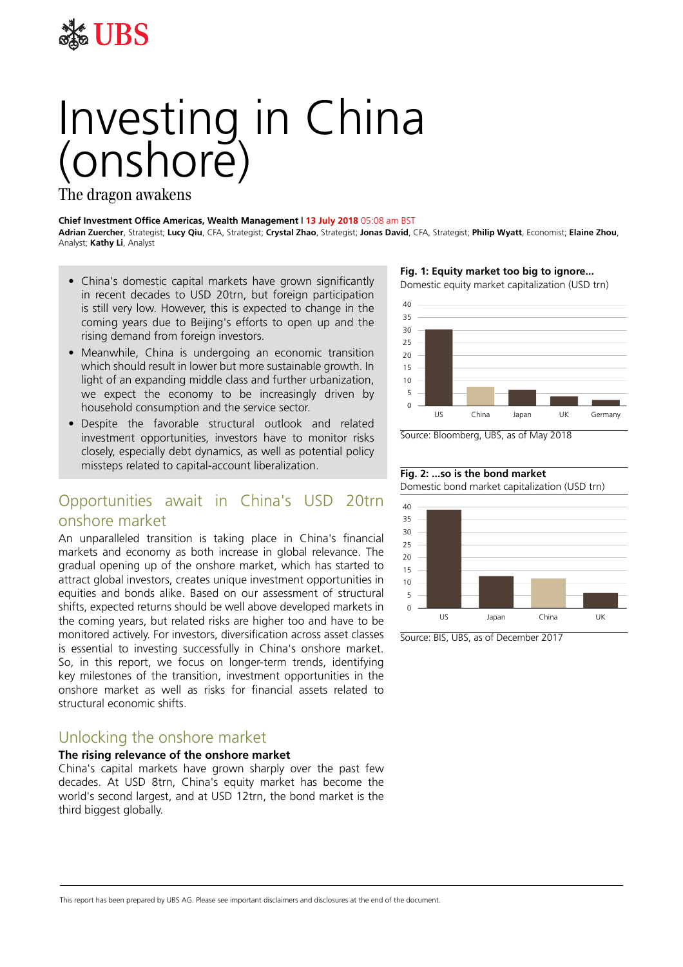

# Investing in China (onshore)

The dragon awakens

#### **Chief Investment Office Americas, Wealth Management | 13 July 2018** 05:08 am BST

**Adrian Zuercher**, Strategist; **Lucy Qiu**, CFA, Strategist; **Crystal Zhao**, Strategist; **Jonas David**, CFA, Strategist; **Philip Wyatt**, Economist; **Elaine Zhou**, Analyst; **Kathy Li**, Analyst

- China's domestic capital markets have grown significantly in recent decades to USD 20trn, but foreign participation is still very low. However, this is expected to change in the coming years due to Beijing's efforts to open up and the rising demand from foreign investors.
- Meanwhile, China is undergoing an economic transition which should result in lower but more sustainable growth. In light of an expanding middle class and further urbanization, we expect the economy to be increasingly driven by household consumption and the service sector.
- Despite the favorable structural outlook and related investment opportunities, investors have to monitor risks closely, especially debt dynamics, as well as potential policy missteps related to capital-account liberalization.

## Opportunities await in China's USD 20trn onshore market

An unparalleled transition is taking place in China's financial markets and economy as both increase in global relevance. The gradual opening up of the onshore market, which has started to attract global investors, creates unique investment opportunities in equities and bonds alike. Based on our assessment of structural shifts, expected returns should be well above developed markets in the coming years, but related risks are higher too and have to be monitored actively. For investors, diversification across asset classes is essential to investing successfully in China's onshore market. So, in this report, we focus on longer-term trends, identifying key milestones of the transition, investment opportunities in the onshore market as well as risks for financial assets related to structural economic shifts.

## Unlocking the onshore market

#### **The rising relevance of the onshore market**

China's capital markets have grown sharply over the past few decades. At USD 8trn, China's equity market has become the world's second largest, and at USD 12trn, the bond market is the third biggest globally.

**Fig. 1: Equity market too big to ignore...**



Source: Bloomberg, UBS, as of May 2018

#### **Fig. 2: ...so is the bond market**

Domestic bond market capitalization (USD trn)



Source: BIS, UBS, as of December 2017

#### This report has been prepared by UBS AG. Please see important disclaimers and disclosures at the end of the document.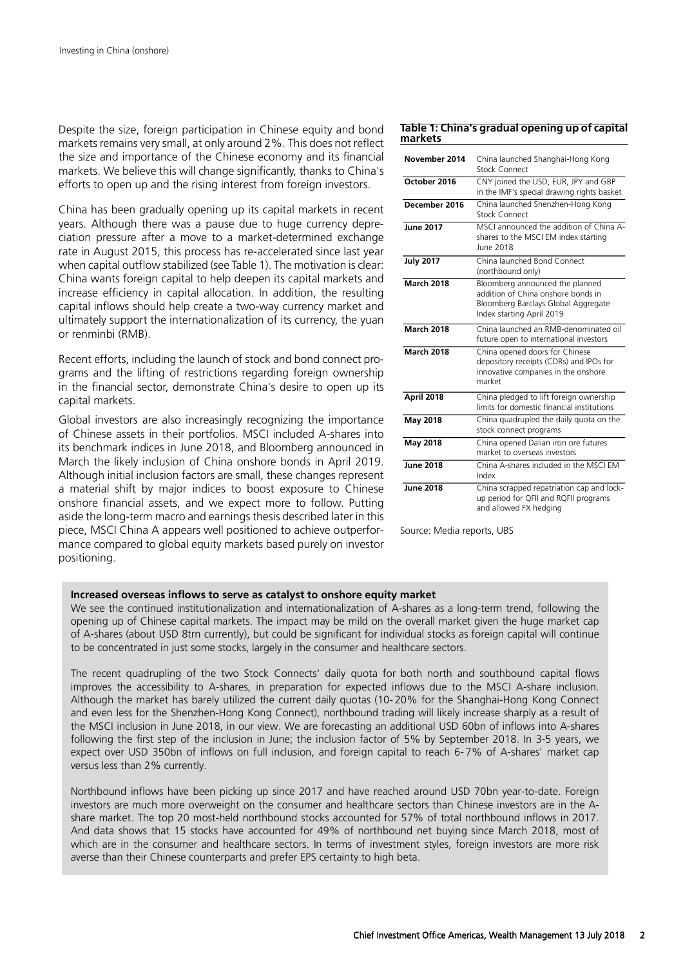Despite the size, foreign participation in Chinese equity and bond markets remains very small, at only around 2%. This does not reflect the size and importance of the Chinese economy and its financial markets. We believe this will change significantly, thanks to China's efforts to open up and the rising interest from foreign investors.

China has been gradually opening up its capital markets in recent years. Although there was a pause due to huge currency depreciation pressure after a move to a market-determined exchange rate in August 2015, this process has re-accelerated since last year when capital outflow stabilized (see Table 1). The motivation is clear: China wants foreign capital to help deepen its capital markets and increase efficiency in capital allocation. In addition, the resulting capital inflows should help create a two-way currency market and ultimately support the internationalization of its currency, the yuan or renminbi (RMB).

Recent efforts, including the launch of stock and bond connect programs and the lifting of restrictions regarding foreign ownership in the financial sector, demonstrate China's desire to open up its capital markets.

Global investors are also increasingly recognizing the importance of Chinese assets in their portfolios. MSCI included A-shares into its benchmark indices in June 2018, and Bloomberg announced in March the likely inclusion of China onshore bonds in April 2019. Although initial inclusion factors are small, these changes represent a material shift by major indices to boost exposure to Chinese onshore financial assets, and we expect more to follow. Putting aside the long-term macro and earnings thesis described later in this piece, MSCI China A appears well positioned to achieve outperformance compared to global equity markets based purely on investor positioning.

#### **Table 1: China's gradual opening up of capital markets**

| November 2014     | China launched Shanghai-Hong Kong<br>Stock Connect                                                                                        |  |
|-------------------|-------------------------------------------------------------------------------------------------------------------------------------------|--|
| October 2016      | CNY joined the USD, EUR, JPY and GBP<br>in the IMF's special drawing rights basket                                                        |  |
| December 2016     | China launched Shenzhen-Hong Kong<br>Stock Connect                                                                                        |  |
| June 2017         | MSCI announced the addition of China A-<br>shares to the MSCI EM index starting<br>June 2018                                              |  |
| <b>July 2017</b>  | China launched Bond Connect<br>(northbound only)                                                                                          |  |
| <b>March 2018</b> | Bloomberg announced the planned<br>addition of China onshore bonds in<br>Bloomberg Barclays Global Aggregate<br>Index starting April 2019 |  |
| <b>March 2018</b> | China launched an RMB-denominated oil<br>future open to international investors                                                           |  |
| <b>March 2018</b> | China opened doors for Chinese<br>depository receipts (CDRs) and IPOs for<br>innovative companies in the onshore<br>market                |  |
| April 2018        | China pledged to lift foreign ownership<br>limits for domestic financial institutions                                                     |  |
| May 2018          | China quadrupled the daily quota on the<br>stock connect programs                                                                         |  |
| May 2018          | China opened Dalian iron ore futures<br>market to overseas investors                                                                      |  |
| <b>June 2018</b>  | China A-shares included in the MSCLEM<br>Index                                                                                            |  |
| <b>June 2018</b>  | China scrapped repatriation cap and lock-<br>up period for QFII and RQFII programs<br>and allowed FX hedging                              |  |

Source: Media reports, UBS

#### **Increased overseas inflows to serve as catalyst to onshore equity market**

We see the continued institutionalization and internationalization of A-shares as a long-term trend, following the opening up of Chinese capital markets. The impact may be mild on the overall market given the huge market cap of A-shares (about USD 8trn currently), but could be significant for individual stocks as foreign capital will continue to be concentrated in just some stocks, largely in the consumer and healthcare sectors.

The recent quadrupling of the two Stock Connects' daily quota for both north and southbound capital flows improves the accessibility to A-shares, in preparation for expected inflows due to the MSCI A-share inclusion. Although the market has barely utilized the current daily quotas (10- 20% for the Shanghai-Hong Kong Connect and even less for the Shenzhen-Hong Kong Connect), northbound trading will likely increase sharply as a result of the MSCI inclusion in June 2018, in our view. We are forecasting an additional USD 60bn of inflows into A-shares following the first step of the inclusion in June; the inclusion factor of 5% by September 2018. In 3-5 years, we expect over USD 350bn of inflows on full inclusion, and foreign capital to reach 6- 7% of A-shares' market cap versus less than 2% currently.

Northbound inflows have been picking up since 2017 and have reached around USD 70bn year-to-date. Foreign investors are much more overweight on the consumer and healthcare sectors than Chinese investors are in the Ashare market. The top 20 most-held northbound stocks accounted for 57% of total northbound inflows in 2017. And data shows that 15 stocks have accounted for 49% of northbound net buying since March 2018, most of which are in the consumer and healthcare sectors. In terms of investment styles, foreign investors are more risk averse than their Chinese counterparts and prefer EPS certainty to high beta.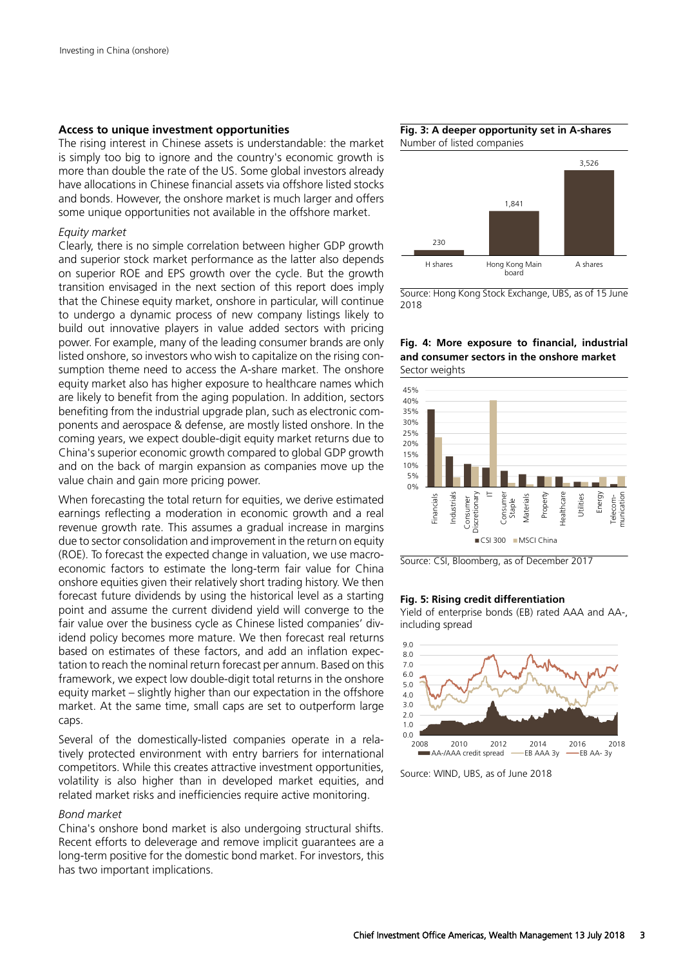#### **Access to unique investment opportunities**

The rising interest in Chinese assets is understandable: the market is simply too big to ignore and the country's economic growth is more than double the rate of the US. Some global investors already have allocations in Chinese financial assets via offshore listed stocks and bonds. However, the onshore market is much larger and offers some unique opportunities not available in the offshore market.

#### *Equity market*

Clearly, there is no simple correlation between higher GDP growth and superior stock market performance as the latter also depends on superior ROE and EPS growth over the cycle. But the growth transition envisaged in the next section of this report does imply that the Chinese equity market, onshore in particular, will continue to undergo a dynamic process of new company listings likely to build out innovative players in value added sectors with pricing power. For example, many of the leading consumer brands are only listed onshore, so investors who wish to capitalize on the rising consumption theme need to access the A-share market. The onshore equity market also has higher exposure to healthcare names which are likely to benefit from the aging population. In addition, sectors benefiting from the industrial upgrade plan, such as electronic components and aerospace & defense, are mostly listed onshore. In the coming years, we expect double-digit equity market returns due to China's superior economic growth compared to global GDP growth and on the back of margin expansion as companies move up the value chain and gain more pricing power.

When forecasting the total return for equities, we derive estimated earnings reflecting a moderation in economic growth and a real revenue growth rate. This assumes a gradual increase in margins due to sector consolidation and improvement in the return on equity (ROE). To forecast the expected change in valuation, we use macroeconomic factors to estimate the long-term fair value for China onshore equities given their relatively short trading history. We then forecast future dividends by using the historical level as a starting point and assume the current dividend yield will converge to the fair value over the business cycle as Chinese listed companies' dividend policy becomes more mature. We then forecast real returns based on estimates of these factors, and add an inflation expectation to reach the nominal return forecast per annum. Based on this framework, we expect low double-digit total returns in the onshore equity market – slightly higher than our expectation in the offshore market. At the same time, small caps are set to outperform large caps.

Several of the domestically-listed companies operate in a relatively protected environment with entry barriers for international competitors. While this creates attractive investment opportunities, volatility is also higher than in developed market equities, and related market risks and inefficiencies require active monitoring.

#### *Bond market*

China's onshore bond market is also undergoing structural shifts. Recent efforts to deleverage and remove implicit guarantees are a long-term positive for the domestic bond market. For investors, this has two important implications.





Source: Hong Kong Stock Exchange, UBS, as of 15 June 2018

**Fig. 4: More exposure to financial, industrial and consumer sectors in the onshore market** Sector weights



Source: CSI, Bloomberg, as of December 2017

#### **Fig. 5: Rising credit differentiation**

Yield of enterprise bonds (EB) rated AAA and AA-, including spread



Source: WIND, UBS, as of June 2018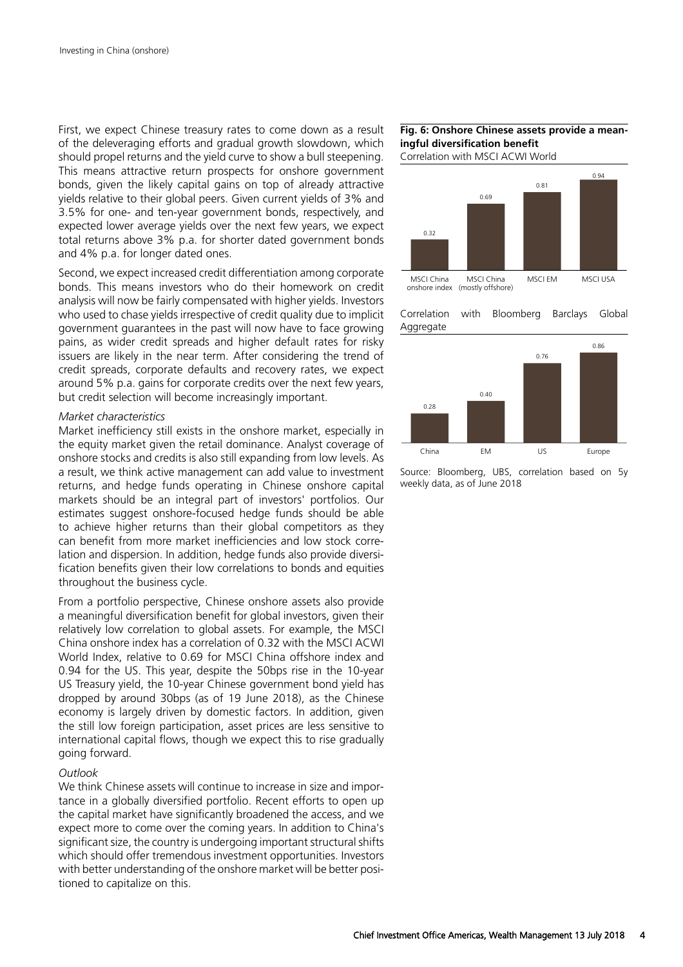First, we expect Chinese treasury rates to come down as a result of the deleveraging efforts and gradual growth slowdown, which should propel returns and the yield curve to show a bull steepening. This means attractive return prospects for onshore government bonds, given the likely capital gains on top of already attractive yields relative to their global peers. Given current yields of 3% and 3.5% for one- and ten-year government bonds, respectively, and expected lower average yields over the next few years, we expect total returns above 3% p.a. for shorter dated government bonds and 4% p.a. for longer dated ones.

Second, we expect increased credit differentiation among corporate bonds. This means investors who do their homework on credit analysis will now be fairly compensated with higher yields. Investors who used to chase yields irrespective of credit quality due to implicit government guarantees in the past will now have to face growing pains, as wider credit spreads and higher default rates for risky issuers are likely in the near term. After considering the trend of credit spreads, corporate defaults and recovery rates, we expect around 5% p.a. gains for corporate credits over the next few years, but credit selection will become increasingly important.

#### *Market characteristics*

Market inefficiency still exists in the onshore market, especially in the equity market given the retail dominance. Analyst coverage of onshore stocks and credits is also still expanding from low levels. As a result, we think active management can add value to investment returns, and hedge funds operating in Chinese onshore capital markets should be an integral part of investors' portfolios. Our estimates suggest onshore-focused hedge funds should be able to achieve higher returns than their global competitors as they can benefit from more market inefficiencies and low stock correlation and dispersion. In addition, hedge funds also provide diversification benefits given their low correlations to bonds and equities throughout the business cycle.

From a portfolio perspective, Chinese onshore assets also provide a meaningful diversification benefit for global investors, given their relatively low correlation to global assets. For example, the MSCI China onshore index has a correlation of 0.32 with the MSCI ACWI World Index, relative to 0.69 for MSCI China offshore index and 0.94 for the US. This year, despite the 50bps rise in the 10-year US Treasury yield, the 10-year Chinese government bond yield has dropped by around 30bps (as of 19 June 2018), as the Chinese economy is largely driven by domestic factors. In addition, given the still low foreign participation, asset prices are less sensitive to international capital flows, though we expect this to rise gradually going forward.

#### *Outlook*

We think Chinese assets will continue to increase in size and importance in a globally diversified portfolio. Recent efforts to open up the capital market have significantly broadened the access, and we expect more to come over the coming years. In addition to China's significant size, the country is undergoing important structural shifts which should offer tremendous investment opportunities. Investors with better understanding of the onshore market will be better positioned to capitalize on this.

#### **Fig. 6: Onshore Chinese assets provide a meaningful diversification benefit**

Correlation with MSCI ACWI World







Source: Bloomberg, UBS, correlation based on 5y weekly data, as of June 2018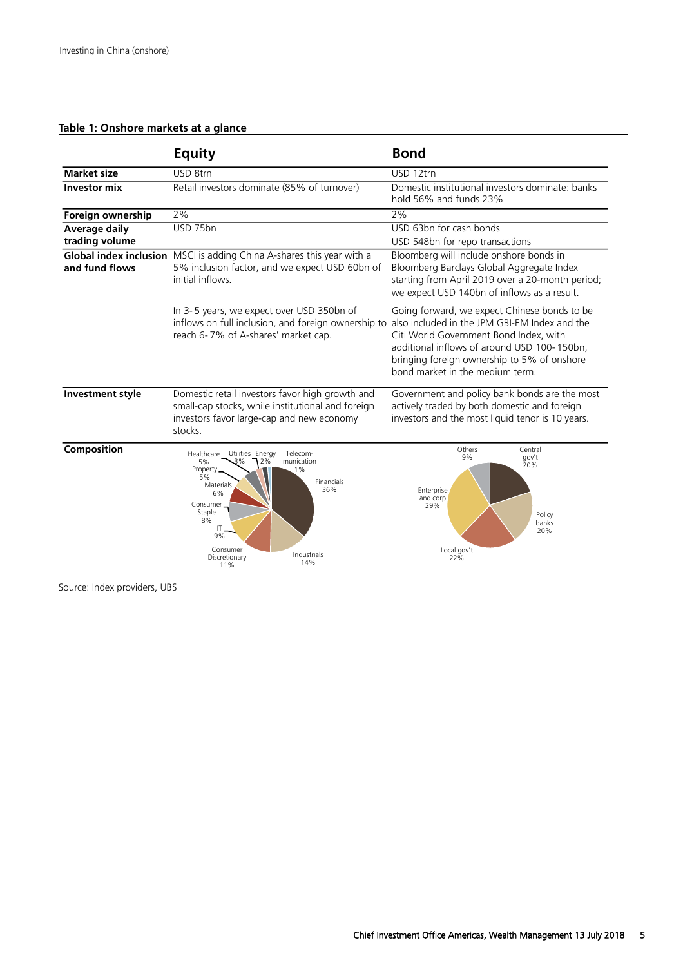#### **Table 1: Onshore markets at a glance**

|                                        | <b>Equity</b>                                                                                                                                                                                                                                                | <b>Bond</b>                                                                                                                                                                                                             |
|----------------------------------------|--------------------------------------------------------------------------------------------------------------------------------------------------------------------------------------------------------------------------------------------------------------|-------------------------------------------------------------------------------------------------------------------------------------------------------------------------------------------------------------------------|
| <b>Market size</b>                     | USD 8trn                                                                                                                                                                                                                                                     | USD 12trn                                                                                                                                                                                                               |
| <b>Investor mix</b>                    | Retail investors dominate (85% of turnover)                                                                                                                                                                                                                  | Domestic institutional investors dominate: banks<br>hold 56% and funds 23%                                                                                                                                              |
| Foreign ownership                      | 2%                                                                                                                                                                                                                                                           | 2%                                                                                                                                                                                                                      |
| <b>Average daily</b><br>trading volume | USD 75bn                                                                                                                                                                                                                                                     | USD 63bn for cash bonds<br>USD 548bn for repo transactions                                                                                                                                                              |
| and fund flows                         | Global index inclusion MSCI is adding China A-shares this year with a<br>5% inclusion factor, and we expect USD 60bn of<br>initial inflows.                                                                                                                  | Bloomberg will include onshore bonds in<br>Bloomberg Barclays Global Aggregate Index<br>starting from April 2019 over a 20-month period;<br>we expect USD 140bn of inflows as a result.                                 |
|                                        | In 3-5 years, we expect over USD 350bn of<br>inflows on full inclusion, and foreign ownership to also included in the JPM GBI-EM Index and the<br>reach 6-7% of A-shares' market cap.                                                                        | Going forward, we expect Chinese bonds to be<br>Citi World Government Bond Index, with<br>additional inflows of around USD 100-150bn,<br>bringing foreign ownership to 5% of onshore<br>bond market in the medium term. |
| Investment style                       | Domestic retail investors favor high growth and<br>small-cap stocks, while institutional and foreign<br>investors favor large-cap and new economy<br>stocks.                                                                                                 | Government and policy bank bonds are the most<br>actively traded by both domestic and foreign<br>investors and the most liquid tenor is 10 years.                                                                       |
| Composition                            | Healthcare Utilities Energy<br>Telecom-<br>munication<br>2%<br>5%<br>Property_<br>$1\%$<br>5%<br>Financials<br>Materials<br>36%<br>6%<br>Consumer $\rightarrow$<br>Staple<br>8%<br>$\Pi$ $-$<br>9%<br>Consumer<br>Industrials<br>Discretionary<br>14%<br>11% | Others<br>Central<br>9%<br>gov't<br>20%<br>Enterprise<br>and corp<br>29%<br>Policy<br>banks<br>20%<br>Local gov't<br>22%                                                                                                |

Source: Index providers, UBS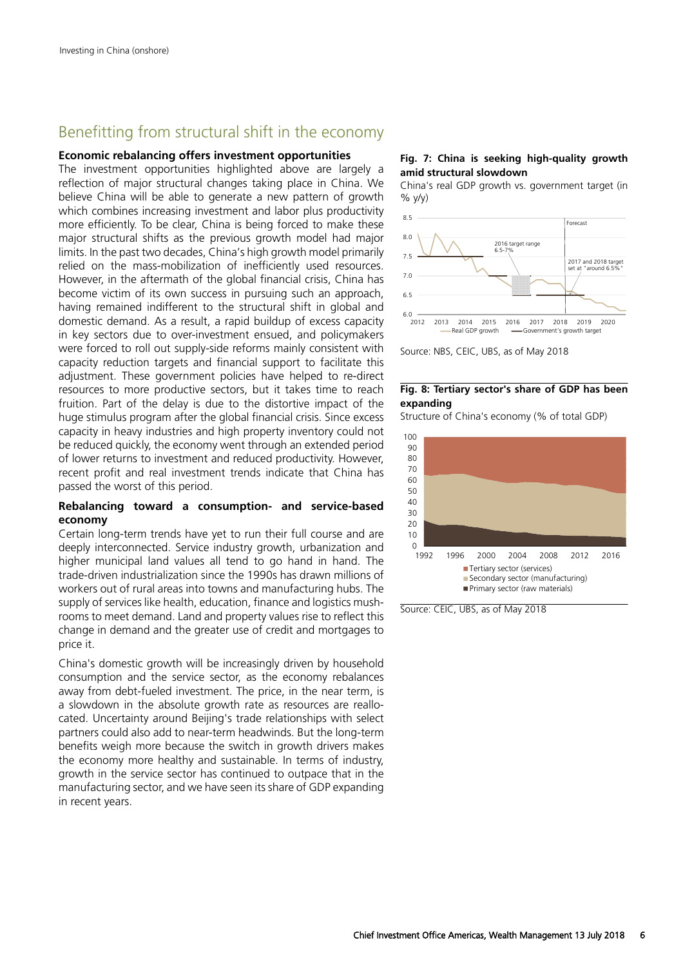## Benefitting from structural shift in the economy

#### **Economic rebalancing offers investment opportunities**

The investment opportunities highlighted above are largely a reflection of major structural changes taking place in China. We believe China will be able to generate a new pattern of growth which combines increasing investment and labor plus productivity more efficiently. To be clear, China is being forced to make these major structural shifts as the previous growth model had major limits. In the past two decades, China's high growth model primarily relied on the mass-mobilization of inefficiently used resources. However, in the aftermath of the global financial crisis, China has become victim of its own success in pursuing such an approach, having remained indifferent to the structural shift in global and domestic demand. As a result, a rapid buildup of excess capacity in key sectors due to over-investment ensued, and policymakers were forced to roll out supply-side reforms mainly consistent with capacity reduction targets and financial support to facilitate this adjustment. These government policies have helped to re-direct resources to more productive sectors, but it takes time to reach fruition. Part of the delay is due to the distortive impact of the huge stimulus program after the global financial crisis. Since excess capacity in heavy industries and high property inventory could not be reduced quickly, the economy went through an extended period of lower returns to investment and reduced productivity. However, recent profit and real investment trends indicate that China has passed the worst of this period.

#### **Rebalancing toward a consumption- and service-based economy**

Certain long-term trends have yet to run their full course and are deeply interconnected. Service industry growth, urbanization and higher municipal land values all tend to go hand in hand. The trade-driven industrialization since the 1990s has drawn millions of workers out of rural areas into towns and manufacturing hubs. The supply of services like health, education, finance and logistics mushrooms to meet demand. Land and property values rise to reflect this change in demand and the greater use of credit and mortgages to price it.

China's domestic growth will be increasingly driven by household consumption and the service sector, as the economy rebalances away from debt-fueled investment. The price, in the near term, is a slowdown in the absolute growth rate as resources are reallocated. Uncertainty around Beijing's trade relationships with select partners could also add to near-term headwinds. But the long-term benefits weigh more because the switch in growth drivers makes the economy more healthy and sustainable. In terms of industry, growth in the service sector has continued to outpace that in the manufacturing sector, and we have seen its share of GDP expanding in recent years.

**Fig. 7: China is seeking high-quality growth amid structural slowdown**

China's real GDP growth vs. government target (in % y/y)





#### **Fig. 8: Tertiary sector's share of GDP has been expanding**

Structure of China's economy (% of total GDP)



Source: CEIC, UBS, as of May 2018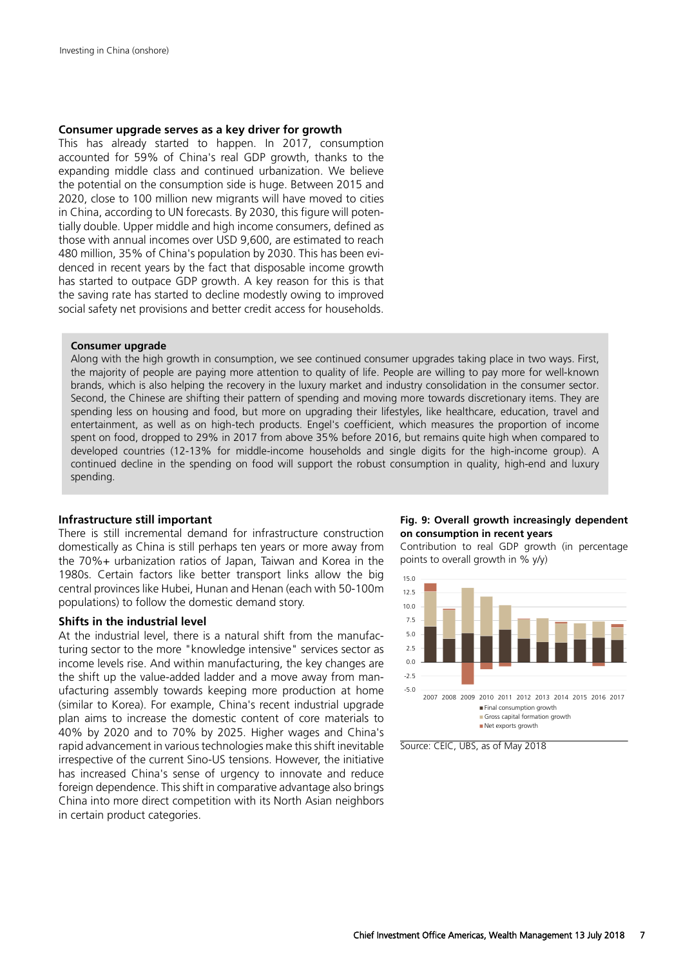#### **Consumer upgrade serves as a key driver for growth**

This has already started to happen. In 2017, consumption accounted for 59% of China's real GDP growth, thanks to the expanding middle class and continued urbanization. We believe the potential on the consumption side is huge. Between 2015 and 2020, close to 100 million new migrants will have moved to cities in China, according to UN forecasts. By 2030, this figure will potentially double. Upper middle and high income consumers, defined as those with annual incomes over USD 9,600, are estimated to reach 480 million, 35% of China's population by 2030. This has been evidenced in recent years by the fact that disposable income growth has started to outpace GDP growth. A key reason for this is that the saving rate has started to decline modestly owing to improved social safety net provisions and better credit access for households.

#### **Consumer upgrade**

Along with the high growth in consumption, we see continued consumer upgrades taking place in two ways. First, the majority of people are paying more attention to quality of life. People are willing to pay more for well-known brands, which is also helping the recovery in the luxury market and industry consolidation in the consumer sector. Second, the Chinese are shifting their pattern of spending and moving more towards discretionary items. They are spending less on housing and food, but more on upgrading their lifestyles, like healthcare, education, travel and entertainment, as well as on high-tech products. Engel's coefficient, which measures the proportion of income spent on food, dropped to 29% in 2017 from above 35% before 2016, but remains quite high when compared to developed countries (12-13% for middle-income households and single digits for the high-income group). A continued decline in the spending on food will support the robust consumption in quality, high-end and luxury spending.

#### **Infrastructure still important**

There is still incremental demand for infrastructure construction domestically as China is still perhaps ten years or more away from the 70%+ urbanization ratios of Japan, Taiwan and Korea in the 1980s. Certain factors like better transport links allow the big central provinces like Hubei, Hunan and Henan (each with 50-100m populations) to follow the domestic demand story.

#### **Shifts in the industrial level**

At the industrial level, there is a natural shift from the manufacturing sector to the more "knowledge intensive" services sector as income levels rise. And within manufacturing, the key changes are the shift up the value-added ladder and a move away from manufacturing assembly towards keeping more production at home (similar to Korea). For example, China's recent industrial upgrade plan aims to increase the domestic content of core materials to 40% by 2020 and to 70% by 2025. Higher wages and China's rapid advancement in various technologies make this shift inevitable irrespective of the current Sino-US tensions. However, the initiative has increased China's sense of urgency to innovate and reduce foreign dependence. This shift in comparative advantage also brings China into more direct competition with its North Asian neighbors in certain product categories.



Contribution to real GDP growth (in percentage points to overall growth in % y/y)



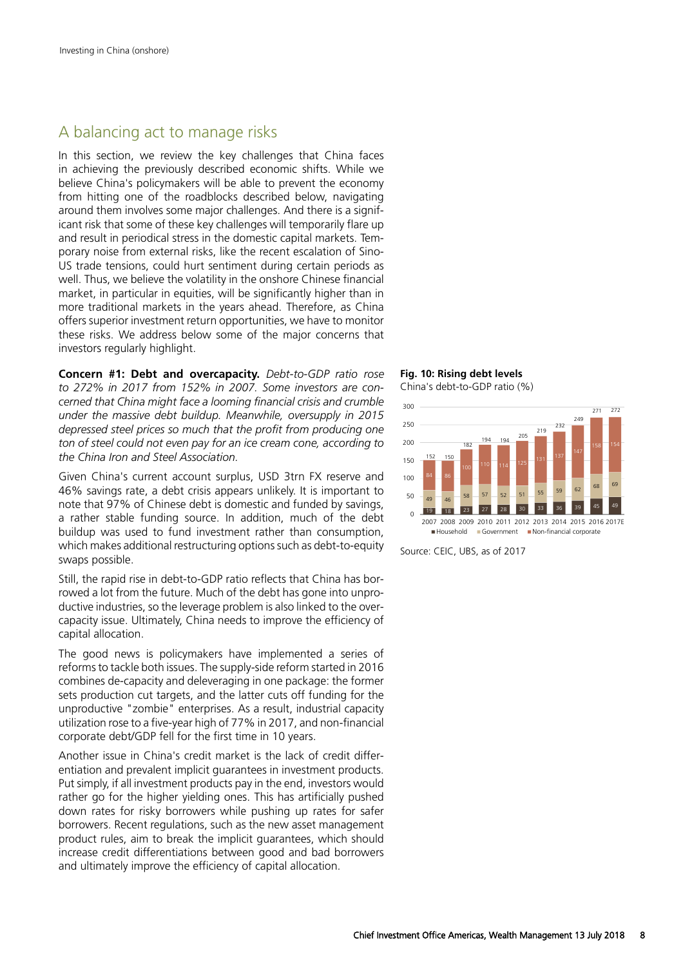### A balancing act to manage risks

In this section, we review the key challenges that China faces in achieving the previously described economic shifts. While we believe China's policymakers will be able to prevent the economy from hitting one of the roadblocks described below, navigating around them involves some major challenges. And there is a significant risk that some of these key challenges will temporarily flare up and result in periodical stress in the domestic capital markets. Temporary noise from external risks, like the recent escalation of Sino-US trade tensions, could hurt sentiment during certain periods as well. Thus, we believe the volatility in the onshore Chinese financial market, in particular in equities, will be significantly higher than in more traditional markets in the years ahead. Therefore, as China offers superior investment return opportunities, we have to monitor these risks. We address below some of the major concerns that investors regularly highlight.

**Concern #1: Debt and overcapacity.** *Debt-to-GDP ratio rose to 272% in 2017 from 152% in 2007. Some investors are concerned that China might face a looming financial crisis and crumble under the massive debt buildup. Meanwhile, oversupply in 2015 depressed steel prices so much that the profit from producing one ton of steel could not even pay for an ice cream cone, according to the China Iron and Steel Association.*

Given China's current account surplus, USD 3trn FX reserve and 46% savings rate, a debt crisis appears unlikely. It is important to note that 97% of Chinese debt is domestic and funded by savings, a rather stable funding source. In addition, much of the debt buildup was used to fund investment rather than consumption, which makes additional restructuring options such as debt-to-equity swaps possible.

Still, the rapid rise in debt-to-GDP ratio reflects that China has borrowed a lot from the future. Much of the debt has gone into unproductive industries, so the leverage problem is also linked to the overcapacity issue. Ultimately, China needs to improve the efficiency of capital allocation.

The good news is policymakers have implemented a series of reforms to tackle both issues. The supply-side reform started in 2016 combines de-capacity and deleveraging in one package: the former sets production cut targets, and the latter cuts off funding for the unproductive "zombie" enterprises. As a result, industrial capacity utilization rose to a five-year high of 77% in 2017, and non-financial corporate debt/GDP fell for the first time in 10 years.

Another issue in China's credit market is the lack of credit differentiation and prevalent implicit guarantees in investment products. Put simply, if all investment products pay in the end, investors would rather go for the higher yielding ones. This has artificially pushed down rates for risky borrowers while pushing up rates for safer borrowers. Recent regulations, such as the new asset management product rules, aim to break the implicit guarantees, which should increase credit differentiations between good and bad borrowers and ultimately improve the efficiency of capital allocation.

**Fig. 10: Rising debt levels** China's debt-to-GDP ratio (%)



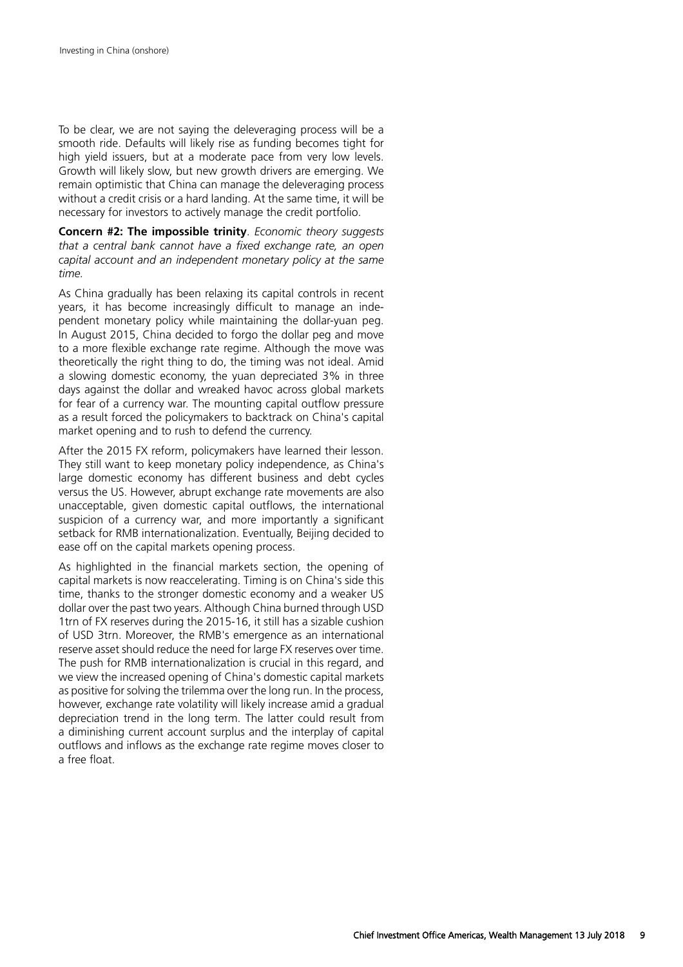To be clear, we are not saying the deleveraging process will be a smooth ride. Defaults will likely rise as funding becomes tight for high yield issuers, but at a moderate pace from very low levels. Growth will likely slow, but new growth drivers are emerging. We remain optimistic that China can manage the deleveraging process without a credit crisis or a hard landing. At the same time, it will be necessary for investors to actively manage the credit portfolio.

**Concern #2: The impossible trinity**. *Economic theory suggests that a central bank cannot have a fixed exchange rate, an open capital account and an independent monetary policy at the same time.*

As China gradually has been relaxing its capital controls in recent years, it has become increasingly difficult to manage an independent monetary policy while maintaining the dollar-yuan peg. In August 2015, China decided to forgo the dollar peg and move to a more flexible exchange rate regime. Although the move was theoretically the right thing to do, the timing was not ideal. Amid a slowing domestic economy, the yuan depreciated 3% in three days against the dollar and wreaked havoc across global markets for fear of a currency war. The mounting capital outflow pressure as a result forced the policymakers to backtrack on China's capital market opening and to rush to defend the currency.

After the 2015 FX reform, policymakers have learned their lesson. They still want to keep monetary policy independence, as China's large domestic economy has different business and debt cycles versus the US. However, abrupt exchange rate movements are also unacceptable, given domestic capital outflows, the international suspicion of a currency war, and more importantly a significant setback for RMB internationalization. Eventually, Beijing decided to ease off on the capital markets opening process.

As highlighted in the financial markets section, the opening of capital markets is now reaccelerating. Timing is on China's side this time, thanks to the stronger domestic economy and a weaker US dollar over the past two years. Although China burned through USD 1trn of FX reserves during the 2015-16, it still has a sizable cushion of USD 3trn. Moreover, the RMB's emergence as an international reserve asset should reduce the need for large FX reserves over time. The push for RMB internationalization is crucial in this regard, and we view the increased opening of China's domestic capital markets as positive for solving the trilemma over the long run. In the process, however, exchange rate volatility will likely increase amid a gradual depreciation trend in the long term. The latter could result from a diminishing current account surplus and the interplay of capital outflows and inflows as the exchange rate regime moves closer to a free float.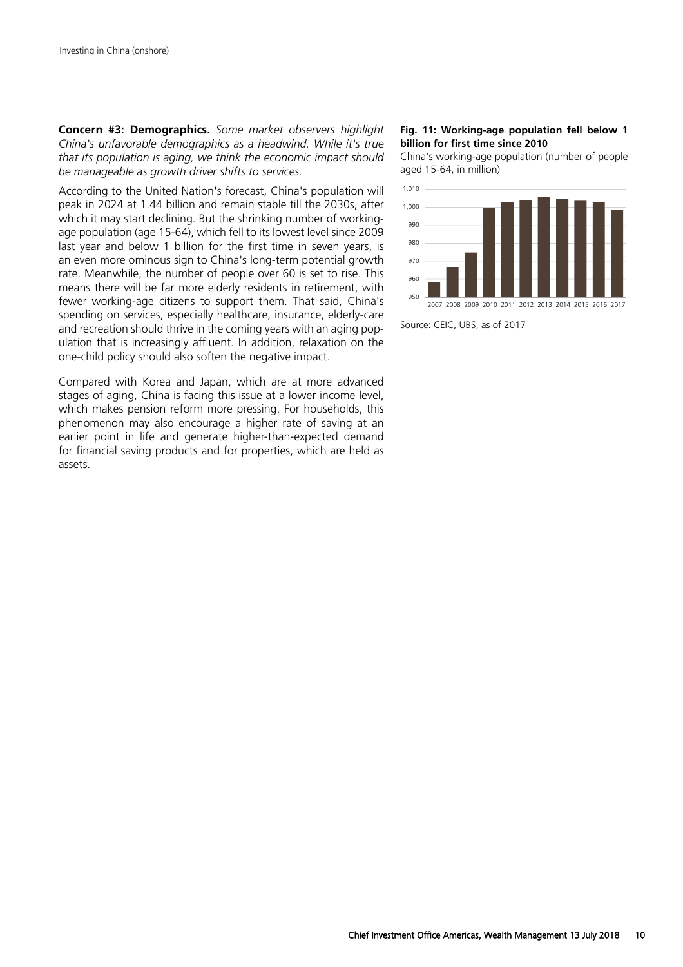**Concern #3: Demographics.** *Some market observers highlight China's unfavorable demographics as a headwind. While it's true that its population is aging, we think the economic impact should be manageable as growth driver shifts to services.*

According to the United Nation's forecast, China's population will peak in 2024 at 1.44 billion and remain stable till the 2030s, after which it may start declining. But the shrinking number of workingage population (age 15-64), which fell to its lowest level since 2009 last year and below 1 billion for the first time in seven years, is an even more ominous sign to China's long-term potential growth rate. Meanwhile, the number of people over 60 is set to rise. This means there will be far more elderly residents in retirement, with fewer working-age citizens to support them. That said, China's spending on services, especially healthcare, insurance, elderly-care and recreation should thrive in the coming years with an aging population that is increasingly affluent. In addition, relaxation on the one-child policy should also soften the negative impact.

Compared with Korea and Japan, which are at more advanced stages of aging, China is facing this issue at a lower income level, which makes pension reform more pressing. For households, this phenomenon may also encourage a higher rate of saving at an earlier point in life and generate higher-than-expected demand for financial saving products and for properties, which are held as assets.

#### **Fig. 11: Working-age population fell below 1 billion for first time since 2010**

China's working-age population (number of people aged 15-64, in million)